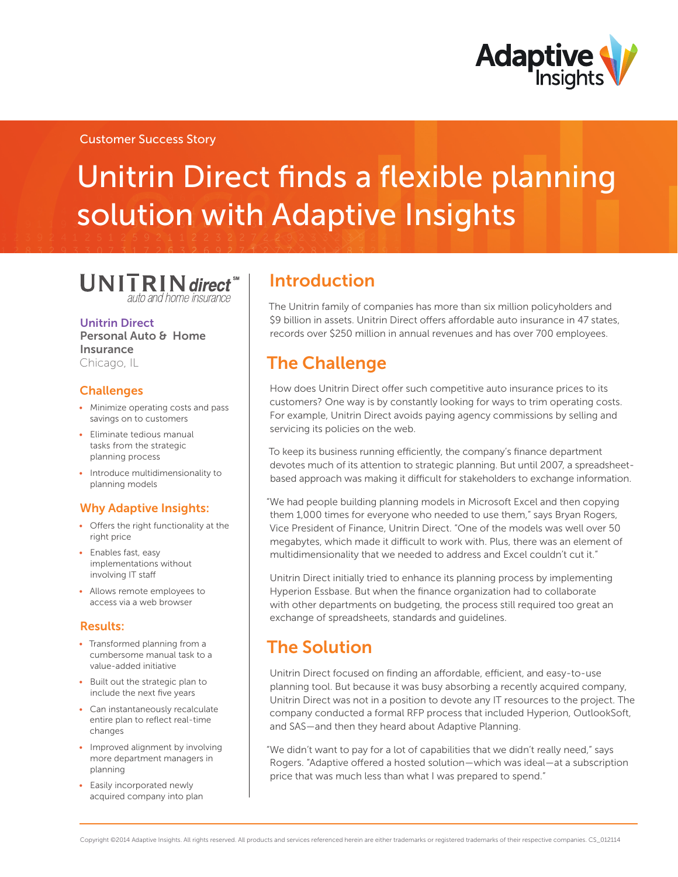

## Customer Success Story

# Unitrin Direct finds a flexible planning solution with Adaptive Insights

 $UNITRIN$  direct  $\sum_{\text{auto and home insurance}}$ 

Unitrin Direct Personal Auto & Home Insurance Chicago, IL

## **Challenges**

- Minimize operating costs and pass savings on to customers
- • Eliminate tedious manual tasks from the strategic planning process
- Introduce multidimensionality to planning models

## Why Adaptive Insights:

- • Offers the right functionality at the right price
- • Enables fast, easy implementations without involving IT staff
- • Allows remote employees to access via a web browser

## Results:

- Transformed planning from a cumbersome manual task to a value-added initiative
- Built out the strategic plan to include the next five years
- Can instantaneously recalculate entire plan to reflect real-time changes
- Improved alignment by involving more department managers in planning
- • Easily incorporated newly acquired company into plan

## Introduction

The Unitrin family of companies has more than six million policyholders and \$9 billion in assets. Unitrin Direct offers affordable auto insurance in 47 states, records over \$250 million in annual revenues and has over 700 employees.

# The Challenge

How does Unitrin Direct offer such competitive auto insurance prices to its customers? One way is by constantly looking for ways to trim operating costs. For example, Unitrin Direct avoids paying agency commissions by selling and servicing its policies on the web.

To keep its business running efficiently, the company's finance department devotes much of its attention to strategic planning. But until 2007, a spreadsheetbased approach was making it difficult for stakeholders to exchange information.

"We had people building planning models in Microsoft Excel and then copying them 1,000 times for everyone who needed to use them," says Bryan Rogers, Vice President of Finance, Unitrin Direct. "One of the models was well over 50 megabytes, which made it difficult to work with. Plus, there was an element of multidimensionality that we needed to address and Excel couldn't cut it."

Unitrin Direct initially tried to enhance its planning process by implementing Hyperion Essbase. But when the finance organization had to collaborate with other departments on budgeting, the process still required too great an exchange of spreadsheets, standards and guidelines.

# The Solution

Unitrin Direct focused on finding an affordable, efficient, and easy-to-use planning tool. But because it was busy absorbing a recently acquired company, Unitrin Direct was not in a position to devote any IT resources to the project. The company conducted a formal RFP process that included Hyperion, OutlookSoft, and SAS—and then they heard about Adaptive Planning.

"We didn't want to pay for a lot of capabilities that we didn't really need," says Rogers. "Adaptive offered a hosted solution—which was ideal—at a subscription price that was much less than what I was prepared to spend."